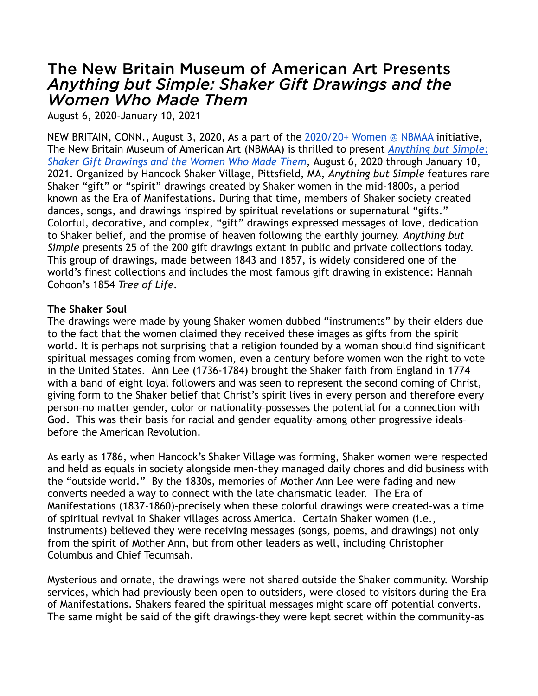# The New Britain Museum of American Art Presents *Anything but Simple: Shaker Gift Drawings and the Women Who Made Them*

August 6, 2020-January 10, 2021

NEW BRITAIN, CONN., August 3, 2020, As a part of the [2020/20+ Women @ NBMAA](https://nbmaa.org/exhibitions/2020) initiative, The New Britain Museum of American Art (NBMAA) is thrilled to present *[Anything but Simple:](https://nbmaa.org/exhibitions/shaker-gift-drawings)  [Shaker Gift Drawings and the Women Who Made Them,](https://nbmaa.org/exhibitions/shaker-gift-drawings)* August 6, 2020 through January 10, 2021. Organized by Hancock Shaker Village, Pittsfield, MA, *Anything but Simple* features rare Shaker "gift" or "spirit" drawings created by Shaker women in the mid-1800s, a period known as the Era of Manifestations. During that time, members of Shaker society created dances, songs, and drawings inspired by spiritual revelations or supernatural "gifts." Colorful, decorative, and complex, "gift" drawings expressed messages of love, dedication to Shaker belief, and the promise of heaven following the earthly journey. *Anything but Simple* presents 25 of the 200 gift drawings extant in public and private collections today. This group of drawings, made between 1843 and 1857, is widely considered one of the world's finest collections and includes the most famous gift drawing in existence: Hannah Cohoon's 1854 *Tree of Life*.

### **The Shaker Soul**

The drawings were made by young Shaker women dubbed "instruments" by their elders due to the fact that the women claimed they received these images as gifts from the spirit world. It is perhaps not surprising that a religion founded by a woman should find significant spiritual messages coming from women, even a century before women won the right to vote in the United States. Ann Lee (1736-1784) brought the Shaker faith from England in 1774 with a band of eight loyal followers and was seen to represent the second coming of Christ, giving form to the Shaker belief that Christ's spirit lives in every person and therefore every person–no matter gender, color or nationality–possesses the potential for a connection with God. This was their basis for racial and gender equality–among other progressive ideals– before the American Revolution.

As early as 1786, when Hancock's Shaker Village was forming, Shaker women were respected and held as equals in society alongside men–they managed daily chores and did business with the "outside world." By the 1830s, memories of Mother Ann Lee were fading and new converts needed a way to connect with the late charismatic leader. The Era of Manifestations (1837-1860)–precisely when these colorful drawings were created–was a time of spiritual revival in Shaker villages across America. Certain Shaker women (i.e., instruments) believed they were receiving messages (songs, poems, and drawings) not only from the spirit of Mother Ann, but from other leaders as well, including Christopher Columbus and Chief Tecumsah.

Mysterious and ornate, the drawings were not shared outside the Shaker community. Worship services, which had previously been open to outsiders, were closed to visitors during the Era of Manifestations. Shakers feared the spiritual messages might scare off potential converts. The same might be said of the gift drawings–they were kept secret within the community–as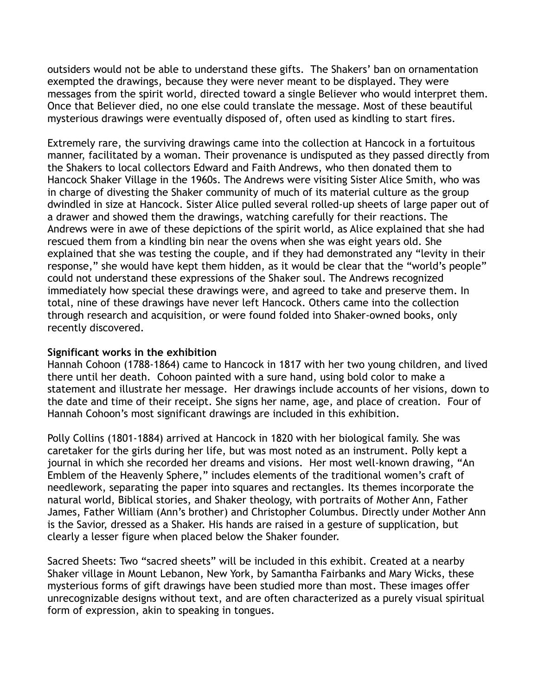outsiders would not be able to understand these gifts. The Shakers' ban on ornamentation exempted the drawings, because they were never meant to be displayed. They were messages from the spirit world, directed toward a single Believer who would interpret them. Once that Believer died, no one else could translate the message. Most of these beautiful mysterious drawings were eventually disposed of, often used as kindling to start fires.

Extremely rare, the surviving drawings came into the collection at Hancock in a fortuitous manner, facilitated by a woman. Their provenance is undisputed as they passed directly from the Shakers to local collectors Edward and Faith Andrews, who then donated them to Hancock Shaker Village in the 1960s. The Andrews were visiting Sister Alice Smith, who was in charge of divesting the Shaker community of much of its material culture as the group dwindled in size at Hancock. Sister Alice pulled several rolled-up sheets of large paper out of a drawer and showed them the drawings, watching carefully for their reactions. The Andrews were in awe of these depictions of the spirit world, as Alice explained that she had rescued them from a kindling bin near the ovens when she was eight years old. She explained that she was testing the couple, and if they had demonstrated any "levity in their response," she would have kept them hidden, as it would be clear that the "world's people" could not understand these expressions of the Shaker soul. The Andrews recognized immediately how special these drawings were, and agreed to take and preserve them. In total, nine of these drawings have never left Hancock. Others came into the collection through research and acquisition, or were found folded into Shaker-owned books, only recently discovered.

### **Significant works in the exhibition**

Hannah Cohoon (1788-1864) came to Hancock in 1817 with her two young children, and lived there until her death. Cohoon painted with a sure hand, using bold color to make a statement and illustrate her message. Her drawings include accounts of her visions, down to the date and time of their receipt. She signs her name, age, and place of creation. Four of Hannah Cohoon's most significant drawings are included in this exhibition.

Polly Collins (1801-1884) arrived at Hancock in 1820 with her biological family. She was caretaker for the girls during her life, but was most noted as an instrument. Polly kept a journal in which she recorded her dreams and visions. Her most well-known drawing, "An Emblem of the Heavenly Sphere," includes elements of the traditional women's craft of needlework, separating the paper into squares and rectangles. Its themes incorporate the natural world, Biblical stories, and Shaker theology, with portraits of Mother Ann, Father James, Father William (Ann's brother) and Christopher Columbus. Directly under Mother Ann is the Savior, dressed as a Shaker. His hands are raised in a gesture of supplication, but clearly a lesser figure when placed below the Shaker founder.

Sacred Sheets: Two "sacred sheets" will be included in this exhibit. Created at a nearby Shaker village in Mount Lebanon, New York, by Samantha Fairbanks and Mary Wicks, these mysterious forms of gift drawings have been studied more than most. These images offer unrecognizable designs without text, and are often characterized as a purely visual spiritual form of expression, akin to speaking in tongues.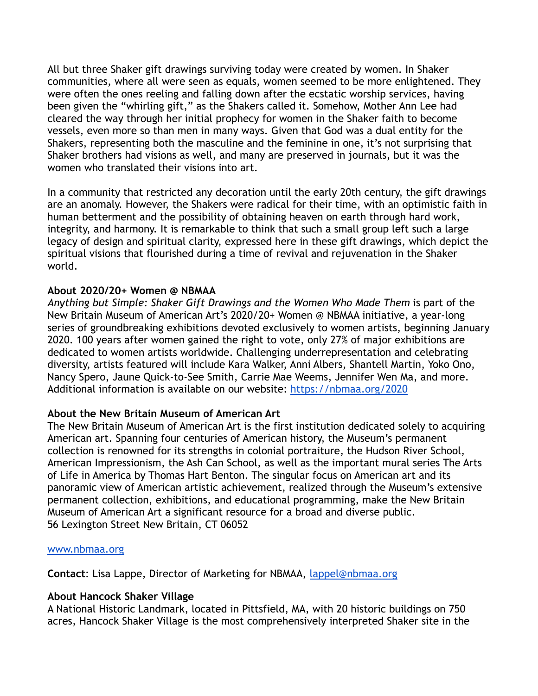All but three Shaker gift drawings surviving today were created by women. In Shaker communities, where all were seen as equals, women seemed to be more enlightened. They were often the ones reeling and falling down after the ecstatic worship services, having been given the "whirling gift," as the Shakers called it. Somehow, Mother Ann Lee had cleared the way through her initial prophecy for women in the Shaker faith to become vessels, even more so than men in many ways. Given that God was a dual entity for the Shakers, representing both the masculine and the feminine in one, it's not surprising that Shaker brothers had visions as well, and many are preserved in journals, but it was the women who translated their visions into art.

In a community that restricted any decoration until the early 20th century, the gift drawings are an anomaly. However, the Shakers were radical for their time, with an optimistic faith in human betterment and the possibility of obtaining heaven on earth through hard work, integrity, and harmony. It is remarkable to think that such a small group left such a large legacy of design and spiritual clarity, expressed here in these gift drawings, which depict the spiritual visions that flourished during a time of revival and rejuvenation in the Shaker world.

### **About 2020/20+ Women @ NBMAA**

*Anything but Simple: Shaker Gift Drawings and the Women Who Made Them* is part of the New Britain Museum of American Art's 2020/20+ Women @ NBMAA initiative, a year-long series of groundbreaking exhibitions devoted exclusively to women artists, beginning January 2020. 100 years after women gained the right to vote, only 27% of major exhibitions are dedicated to women artists worldwide. Challenging underrepresentation and celebrating diversity, artists featured will include Kara Walker, Anni Albers, Shantell Martin, Yoko Ono, Nancy Spero, Jaune Quick-to-See Smith, Carrie Mae Weems, Jennifer Wen Ma, and more. Additional information is available on our website: [https://nbmaa.org/2020](https://nbmaa.org/exhibitions/2020)

## **About the New Britain Museum of American Art**

The New Britain Museum of American Art is the first institution dedicated solely to acquiring American art. Spanning four centuries of American history, the Museum's permanent collection is renowned for its strengths in colonial portraiture, the Hudson River School, American Impressionism, the Ash Can School, as well as the important mural series The Arts of Life in America by Thomas Hart Benton. The singular focus on American art and its panoramic view of American artistic achievement, realized through the Museum's extensive permanent collection, exhibitions, and educational programming, make the New Britain Museum of American Art a significant resource for a broad and diverse public. 56 Lexington Street New Britain, CT 06052

### [www.nbmaa.org](http://www.nbmaa.org)

**Contact**: Lisa Lappe, Director of Marketing for NBMAA, [lappel@nbmaa.org](mailto:lappel@nbmaa.org)

### **About Hancock Shaker Village**

A National Historic Landmark, located in Pittsfield, MA, with 20 historic buildings on 750 acres, Hancock Shaker Village is the most comprehensively interpreted Shaker site in the